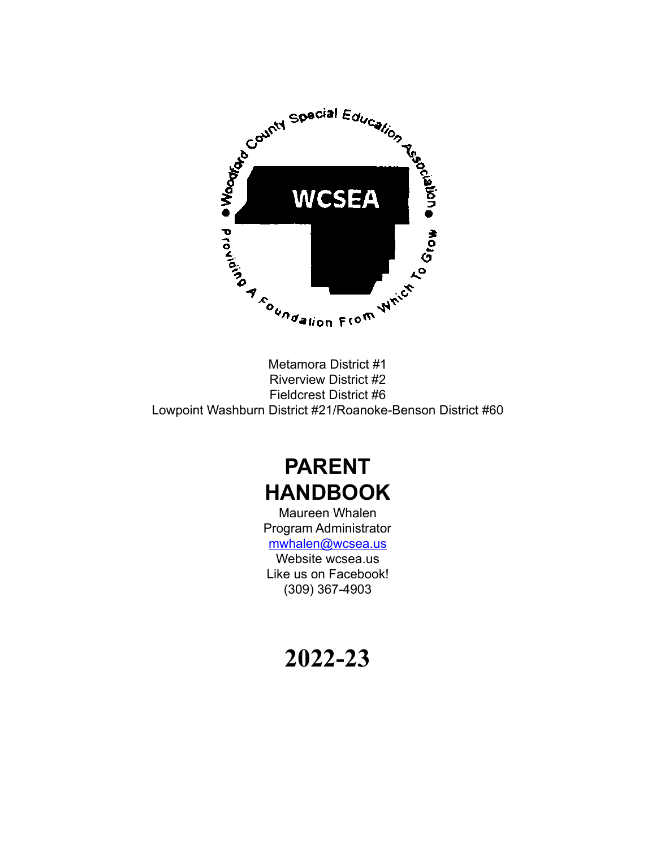

Metamora District #1 Riverview District #2 Fieldcrest District #6 Lowpoint Washburn District #21/Roanoke-Benson District #60

# **PARENT HANDBOOK**

Maureen Whalen Program Administrator [mwhalen@wcsea.us](mailto:mwhalen@wcsea.us) Website wcsea.us Like us on Facebook! (309) 367-4903

# **2022-23**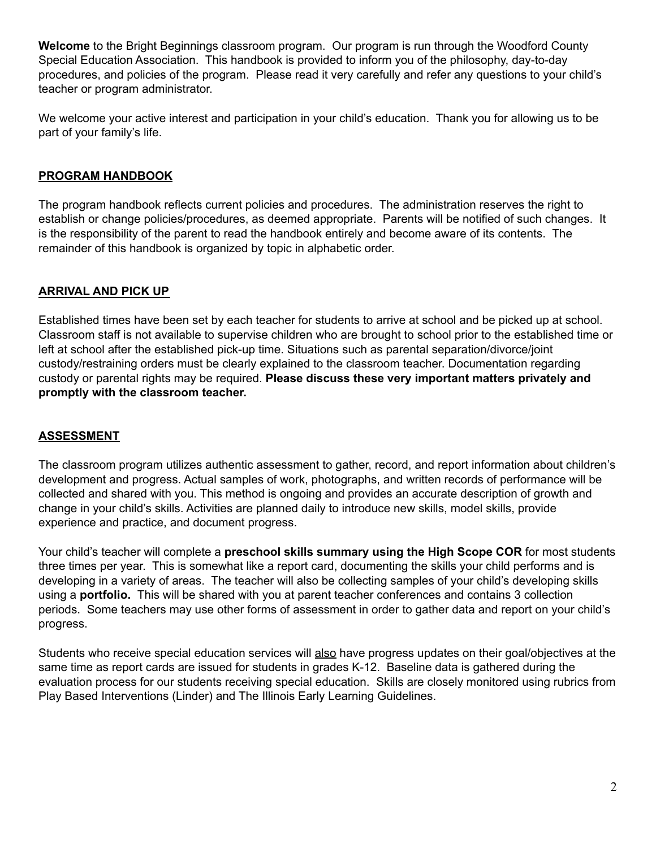**Welcome** to the Bright Beginnings classroom program. Our program is run through the Woodford County Special Education Association. This handbook is provided to inform you of the philosophy, day-to-day procedures, and policies of the program. Please read it very carefully and refer any questions to your child's teacher or program administrator.

We welcome your active interest and participation in your child's education. Thank you for allowing us to be part of your family's life.

# **PROGRAM HANDBOOK**

The program handbook reflects current policies and procedures. The administration reserves the right to establish or change policies/procedures, as deemed appropriate. Parents will be notified of such changes. It is the responsibility of the parent to read the handbook entirely and become aware of its contents. The remainder of this handbook is organized by topic in alphabetic order.

# **ARRIVAL AND PICK UP**

Established times have been set by each teacher for students to arrive at school and be picked up at school. Classroom staff is not available to supervise children who are brought to school prior to the established time or left at school after the established pick-up time. Situations such as parental separation/divorce/joint custody/restraining orders must be clearly explained to the classroom teacher. Documentation regarding custody or parental rights may be required. **Please discuss these very important matters privately and promptly with the classroom teacher.**

## **ASSESSMENT**

The classroom program utilizes authentic assessment to gather, record, and report information about children's development and progress. Actual samples of work, photographs, and written records of performance will be collected and shared with you. This method is ongoing and provides an accurate description of growth and change in your child's skills. Activities are planned daily to introduce new skills, model skills, provide experience and practice, and document progress.

Your child's teacher will complete a **preschool skills summary using the High Scope COR** for most students three times per year. This is somewhat like a report card, documenting the skills your child performs and is developing in a variety of areas. The teacher will also be collecting samples of your child's developing skills using a **portfolio.** This will be shared with you at parent teacher conferences and contains 3 collection periods. Some teachers may use other forms of assessment in order to gather data and report on your child's progress.

Students who receive special education services will also have progress updates on their goal/objectives at the same time as report cards are issued for students in grades K-12. Baseline data is gathered during the evaluation process for our students receiving special education. Skills are closely monitored using rubrics from Play Based Interventions (Linder) and The Illinois Early Learning Guidelines.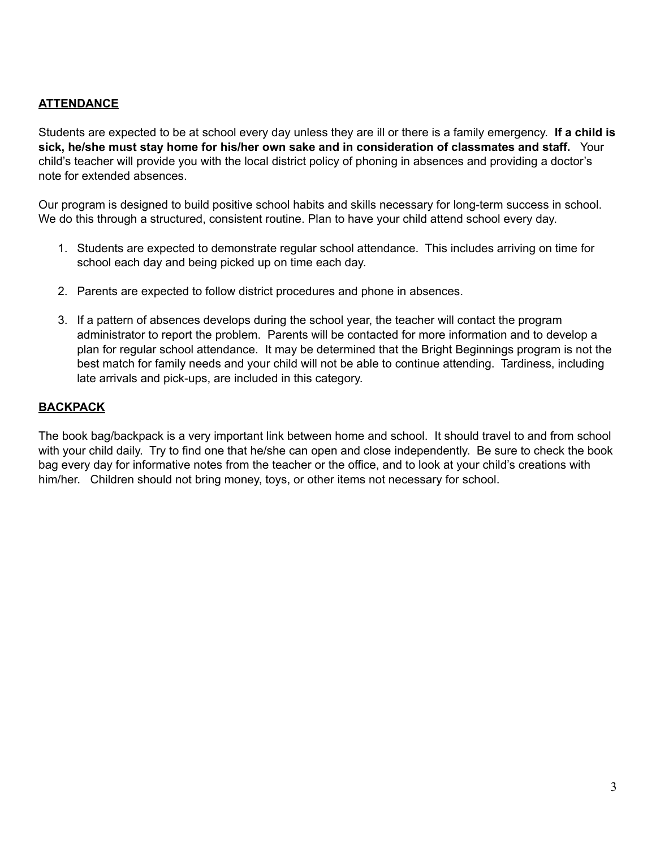# **ATTENDANCE**

Students are expected to be at school every day unless they are ill or there is a family emergency. **If a child is sick, he/she must stay home for his/her own sake and in consideration of classmates and staff.** Your child's teacher will provide you with the local district policy of phoning in absences and providing a doctor's note for extended absences.

Our program is designed to build positive school habits and skills necessary for long-term success in school. We do this through a structured, consistent routine. Plan to have your child attend school every day.

- 1. Students are expected to demonstrate regular school attendance. This includes arriving on time for school each day and being picked up on time each day.
- 2. Parents are expected to follow district procedures and phone in absences.
- 3. If a pattern of absences develops during the school year, the teacher will contact the program administrator to report the problem. Parents will be contacted for more information and to develop a plan for regular school attendance. It may be determined that the Bright Beginnings program is not the best match for family needs and your child will not be able to continue attending. Tardiness, including late arrivals and pick-ups, are included in this category.

## **BACKPACK**

The book bag/backpack is a very important link between home and school. It should travel to and from school with your child daily. Try to find one that he/she can open and close independently. Be sure to check the book bag every day for informative notes from the teacher or the office, and to look at your child's creations with him/her. Children should not bring money, toys, or other items not necessary for school.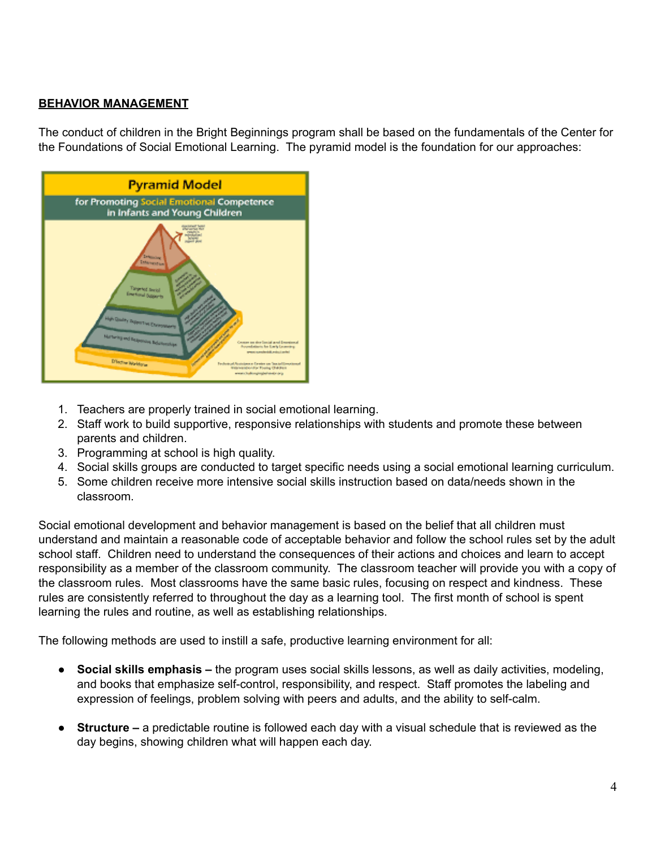# **BEHAVIOR MANAGEMENT**

The conduct of children in the Bright Beginnings program shall be based on the fundamentals of the Center for the Foundations of Social Emotional Learning. The pyramid model is the foundation for our approaches:



- 1. Teachers are properly trained in social emotional learning.
- 2. Staff work to build supportive, responsive relationships with students and promote these between parents and children.
- 3. Programming at school is high quality.
- 4. Social skills groups are conducted to target specific needs using a social emotional learning curriculum.
- 5. Some children receive more intensive social skills instruction based on data/needs shown in the classroom.

Social emotional development and behavior management is based on the belief that all children must understand and maintain a reasonable code of acceptable behavior and follow the school rules set by the adult school staff. Children need to understand the consequences of their actions and choices and learn to accept responsibility as a member of the classroom community. The classroom teacher will provide you with a copy of the classroom rules. Most classrooms have the same basic rules, focusing on respect and kindness. These rules are consistently referred to throughout the day as a learning tool. The first month of school is spent learning the rules and routine, as well as establishing relationships.

The following methods are used to instill a safe, productive learning environment for all:

- **Social skills emphasis –** the program uses social skills lessons, as well as daily activities, modeling, and books that emphasize self-control, responsibility, and respect. Staff promotes the labeling and expression of feelings, problem solving with peers and adults, and the ability to self-calm.
- **Structure** a predictable routine is followed each day with a visual schedule that is reviewed as the day begins, showing children what will happen each day.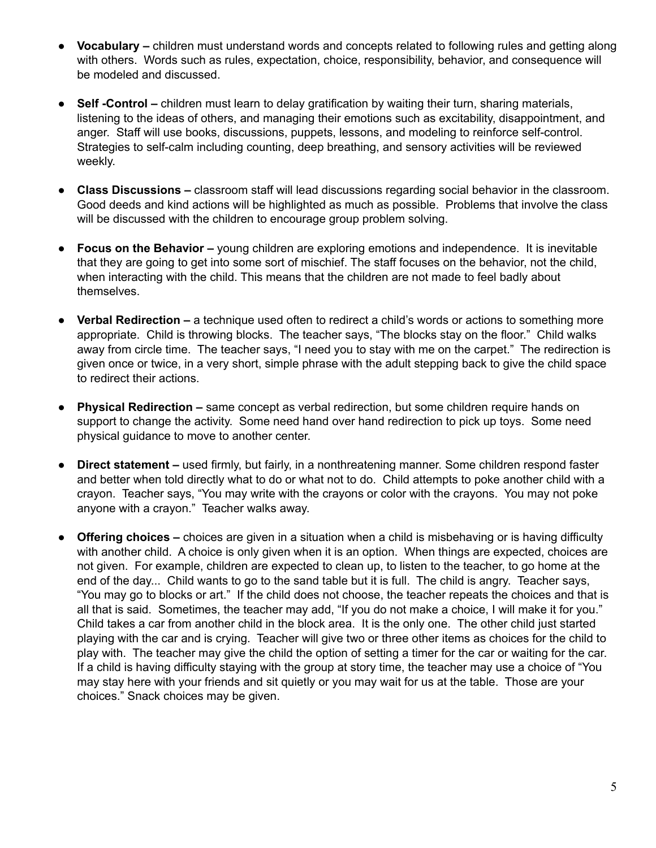- **Vocabulary** children must understand words and concepts related to following rules and getting along with others. Words such as rules, expectation, choice, responsibility, behavior, and consequence will be modeled and discussed.
- **Self -Control –** children must learn to delay gratification by waiting their turn, sharing materials, listening to the ideas of others, and managing their emotions such as excitability, disappointment, and anger. Staff will use books, discussions, puppets, lessons, and modeling to reinforce self-control. Strategies to self-calm including counting, deep breathing, and sensory activities will be reviewed weekly.
- **Class Discussions –** classroom staff will lead discussions regarding social behavior in the classroom. Good deeds and kind actions will be highlighted as much as possible. Problems that involve the class will be discussed with the children to encourage group problem solving.
- **Focus on the Behavior –** young children are exploring emotions and independence. It is inevitable that they are going to get into some sort of mischief. The staff focuses on the behavior, not the child, when interacting with the child. This means that the children are not made to feel badly about themselves.
- **Verbal Redirection –** a technique used often to redirect a child's words or actions to something more appropriate. Child is throwing blocks. The teacher says, "The blocks stay on the floor." Child walks away from circle time. The teacher says, "I need you to stay with me on the carpet." The redirection is given once or twice, in a very short, simple phrase with the adult stepping back to give the child space to redirect their actions.
- **Physical Redirection** same concept as verbal redirection, but some children require hands on support to change the activity. Some need hand over hand redirection to pick up toys. Some need physical guidance to move to another center.
- **Direct statement** used firmly, but fairly, in a nonthreatening manner. Some children respond faster and better when told directly what to do or what not to do. Child attempts to poke another child with a crayon. Teacher says, "You may write with the crayons or color with the crayons. You may not poke anyone with a crayon." Teacher walks away.
- **Offering choices –** choices are given in a situation when a child is misbehaving or is having difficulty with another child. A choice is only given when it is an option. When things are expected, choices are not given. For example, children are expected to clean up, to listen to the teacher, to go home at the end of the day... Child wants to go to the sand table but it is full. The child is angry. Teacher says, "You may go to blocks or art." If the child does not choose, the teacher repeats the choices and that is all that is said. Sometimes, the teacher may add, "If you do not make a choice, I will make it for you." Child takes a car from another child in the block area. It is the only one. The other child just started playing with the car and is crying. Teacher will give two or three other items as choices for the child to play with. The teacher may give the child the option of setting a timer for the car or waiting for the car. If a child is having difficulty staying with the group at story time, the teacher may use a choice of "You may stay here with your friends and sit quietly or you may wait for us at the table. Those are your choices." Snack choices may be given.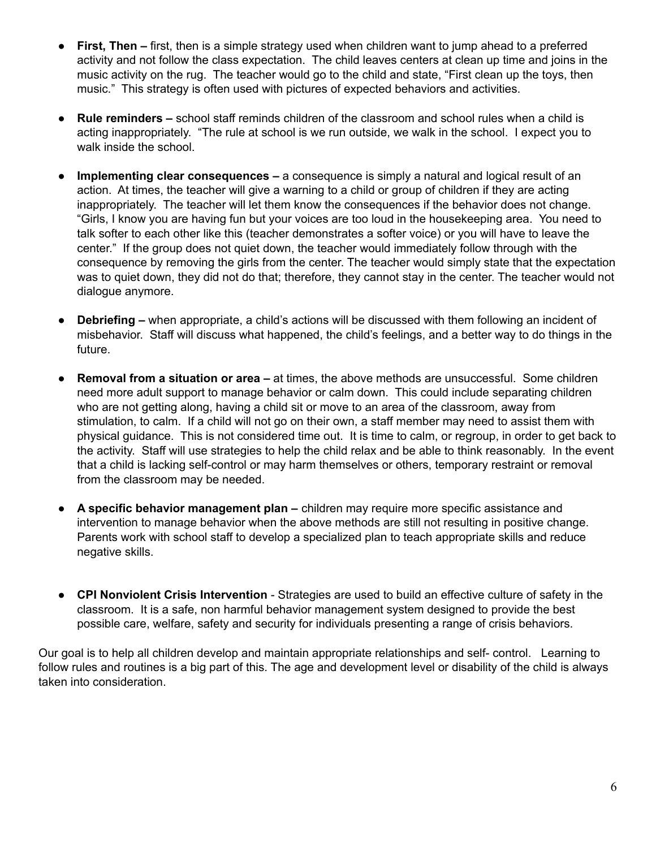- **First, Then first, then is a simple strategy used when children want to jump ahead to a preferred** activity and not follow the class expectation. The child leaves centers at clean up time and joins in the music activity on the rug. The teacher would go to the child and state, "First clean up the toys, then music." This strategy is often used with pictures of expected behaviors and activities.
- **Rule reminders** school staff reminds children of the classroom and school rules when a child is acting inappropriately. "The rule at school is we run outside, we walk in the school. I expect you to walk inside the school.
- **Implementing clear consequences** a consequence is simply a natural and logical result of an action. At times, the teacher will give a warning to a child or group of children if they are acting inappropriately. The teacher will let them know the consequences if the behavior does not change. "Girls, I know you are having fun but your voices are too loud in the housekeeping area. You need to talk softer to each other like this (teacher demonstrates a softer voice) or you will have to leave the center." If the group does not quiet down, the teacher would immediately follow through with the consequence by removing the girls from the center. The teacher would simply state that the expectation was to quiet down, they did not do that; therefore, they cannot stay in the center. The teacher would not dialogue anymore.
- **Debriefing –** when appropriate, a child's actions will be discussed with them following an incident of misbehavior. Staff will discuss what happened, the child's feelings, and a better way to do things in the future.
- **Removal from a situation or area –** at times, the above methods are unsuccessful. Some children need more adult support to manage behavior or calm down. This could include separating children who are not getting along, having a child sit or move to an area of the classroom, away from stimulation, to calm. If a child will not go on their own, a staff member may need to assist them with physical guidance. This is not considered time out. It is time to calm, or regroup, in order to get back to the activity. Staff will use strategies to help the child relax and be able to think reasonably. In the event that a child is lacking self-control or may harm themselves or others, temporary restraint or removal from the classroom may be needed.
- **A specific behavior management plan –** children may require more specific assistance and intervention to manage behavior when the above methods are still not resulting in positive change. Parents work with school staff to develop a specialized plan to teach appropriate skills and reduce negative skills.
- **CPI Nonviolent Crisis Intervention** Strategies are used to build an effective culture of safety in the classroom. It is a safe, non harmful behavior management system designed to provide the best possible care, welfare, safety and security for individuals presenting a range of crisis behaviors.

Our goal is to help all children develop and maintain appropriate relationships and self- control. Learning to follow rules and routines is a big part of this. The age and development level or disability of the child is always taken into consideration.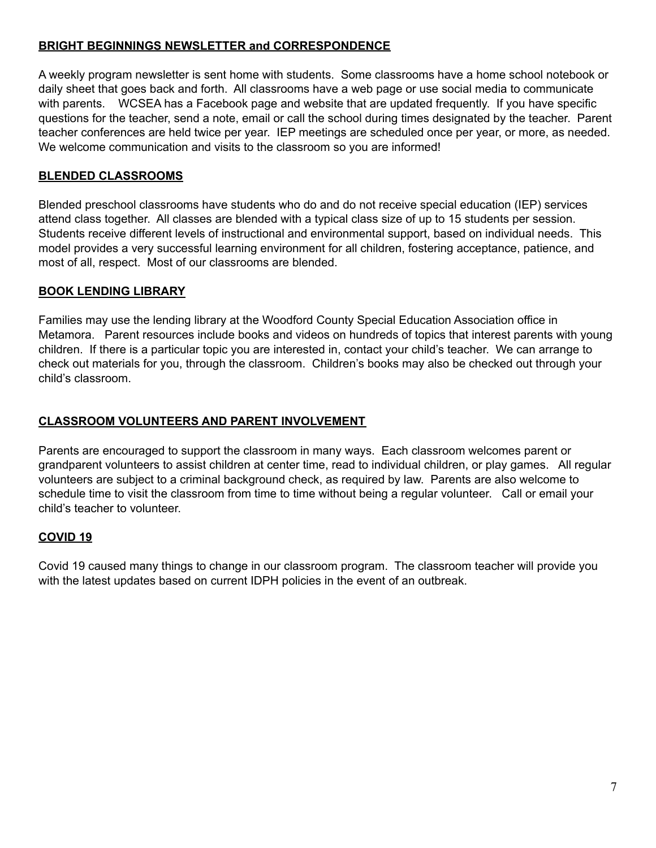# **BRIGHT BEGINNINGS NEWSLETTER and CORRESPONDENCE**

A weekly program newsletter is sent home with students. Some classrooms have a home school notebook or daily sheet that goes back and forth. All classrooms have a web page or use social media to communicate with parents. WCSEA has a Facebook page and website that are updated frequently. If you have specific questions for the teacher, send a note, email or call the school during times designated by the teacher. Parent teacher conferences are held twice per year. IEP meetings are scheduled once per year, or more, as needed. We welcome communication and visits to the classroom so you are informed!

# **BLENDED CLASSROOMS**

Blended preschool classrooms have students who do and do not receive special education (IEP) services attend class together. All classes are blended with a typical class size of up to 15 students per session. Students receive different levels of instructional and environmental support, based on individual needs. This model provides a very successful learning environment for all children, fostering acceptance, patience, and most of all, respect. Most of our classrooms are blended.

# **BOOK LENDING LIBRARY**

Families may use the lending library at the Woodford County Special Education Association office in Metamora. Parent resources include books and videos on hundreds of topics that interest parents with young children. If there is a particular topic you are interested in, contact your child's teacher. We can arrange to check out materials for you, through the classroom. Children's books may also be checked out through your child's classroom.

# **CLASSROOM VOLUNTEERS AND PARENT INVOLVEMENT**

Parents are encouraged to support the classroom in many ways. Each classroom welcomes parent or grandparent volunteers to assist children at center time, read to individual children, or play games. All regular volunteers are subject to a criminal background check, as required by law. Parents are also welcome to schedule time to visit the classroom from time to time without being a regular volunteer. Call or email your child's teacher to volunteer.

# **COVID 19**

Covid 19 caused many things to change in our classroom program. The classroom teacher will provide you with the latest updates based on current IDPH policies in the event of an outbreak.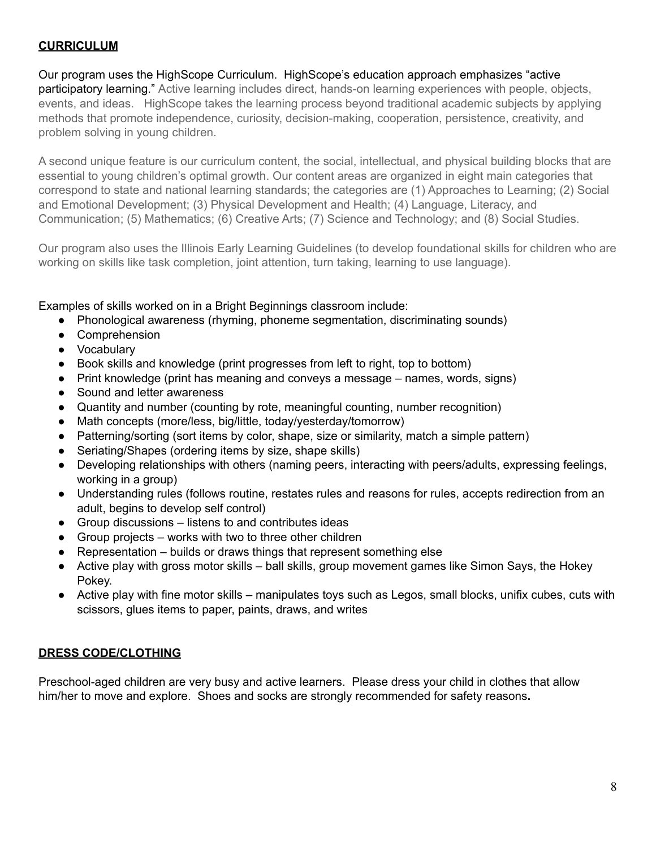# **CURRICULUM**

Our program uses the HighScope Curriculum. HighScope's education approach emphasizes "active participatory learning." Active learning includes direct, hands-on learning experiences with people, objects, events, and ideas. HighScope takes the learning process beyond traditional academic subjects by applying methods that promote independence, curiosity, decision-making, cooperation, persistence, creativity, and problem solving in young children.

A second unique feature is our curriculum content, the social, intellectual, and physical building blocks that are essential to young children's optimal growth. Our content areas are organized in eight main categories that correspond to state and national learning standards; the categories are (1) Approaches to Learning; (2) Social and Emotional Development; (3) Physical Development and Health; (4) Language, Literacy, and Communication; (5) Mathematics; (6) Creative Arts; (7) Science and Technology; and (8) Social Studies.

Our program also uses the Illinois Early Learning Guidelines (to develop foundational skills for children who are working on skills like task completion, joint attention, turn taking, learning to use language).

Examples of skills worked on in a Bright Beginnings classroom include:

- Phonological awareness (rhyming, phoneme segmentation, discriminating sounds)
- Comprehension
- Vocabulary
- Book skills and knowledge (print progresses from left to right, top to bottom)
- Print knowledge (print has meaning and conveys a message names, words, signs)
- Sound and letter awareness
- Quantity and number (counting by rote, meaningful counting, number recognition)
- Math concepts (more/less, big/little, today/yesterday/tomorrow)
- Patterning/sorting (sort items by color, shape, size or similarity, match a simple pattern)
- Seriating/Shapes (ordering items by size, shape skills)
- Developing relationships with others (naming peers, interacting with peers/adults, expressing feelings, working in a group)
- Understanding rules (follows routine, restates rules and reasons for rules, accepts redirection from an adult, begins to develop self control)
- Group discussions listens to and contributes ideas
- Group projects works with two to three other children
- $\bullet$  Representation builds or draws things that represent something else
- Active play with gross motor skills ball skills, group movement games like Simon Says, the Hokey Pokey.
- Active play with fine motor skills manipulates toys such as Legos, small blocks, unifix cubes, cuts with scissors, glues items to paper, paints, draws, and writes

# **DRESS CODE/CLOTHING**

Preschool-aged children are very busy and active learners. Please dress your child in clothes that allow him/her to move and explore. Shoes and socks are strongly recommended for safety reasons**.**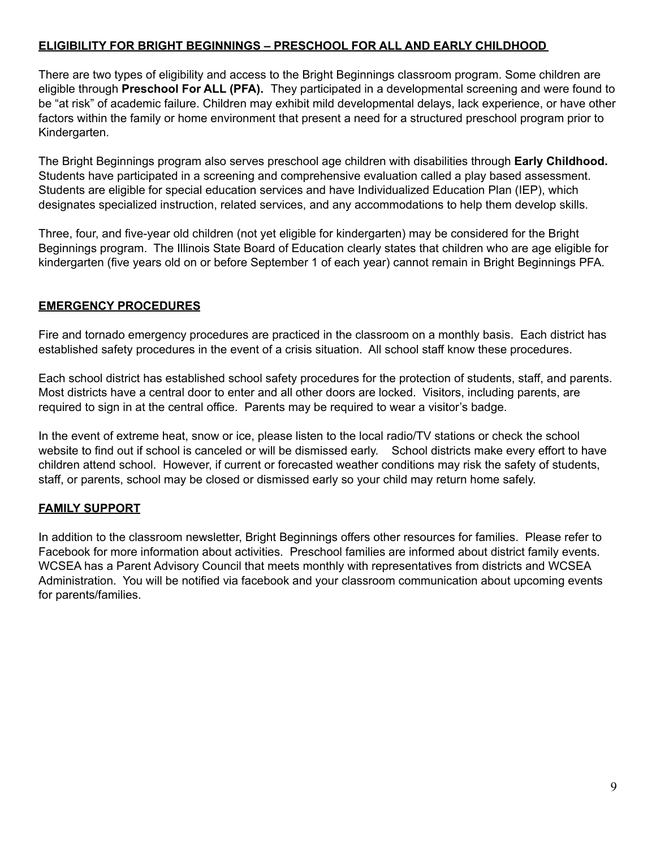# **ELIGIBILITY FOR BRIGHT BEGINNINGS – PRESCHOOL FOR ALL AND EARLY CHILDHOOD**

There are two types of eligibility and access to the Bright Beginnings classroom program. Some children are eligible through **Preschool For ALL (PFA).** They participated in a developmental screening and were found to be "at risk" of academic failure. Children may exhibit mild developmental delays, lack experience, or have other factors within the family or home environment that present a need for a structured preschool program prior to Kindergarten.

The Bright Beginnings program also serves preschool age children with disabilities through **Early Childhood.** Students have participated in a screening and comprehensive evaluation called a play based assessment. Students are eligible for special education services and have Individualized Education Plan (IEP), which designates specialized instruction, related services, and any accommodations to help them develop skills.

Three, four, and five-year old children (not yet eligible for kindergarten) may be considered for the Bright Beginnings program. The Illinois State Board of Education clearly states that children who are age eligible for kindergarten (five years old on or before September 1 of each year) cannot remain in Bright Beginnings PFA.

# **EMERGENCY PROCEDURES**

Fire and tornado emergency procedures are practiced in the classroom on a monthly basis. Each district has established safety procedures in the event of a crisis situation. All school staff know these procedures.

Each school district has established school safety procedures for the protection of students, staff, and parents. Most districts have a central door to enter and all other doors are locked. Visitors, including parents, are required to sign in at the central office. Parents may be required to wear a visitor's badge.

In the event of extreme heat, snow or ice, please listen to the local radio/TV stations or check the school website to find out if school is canceled or will be dismissed early. School districts make every effort to have children attend school. However, if current or forecasted weather conditions may risk the safety of students, staff, or parents, school may be closed or dismissed early so your child may return home safely.

# **FAMILY SUPPORT**

In addition to the classroom newsletter, Bright Beginnings offers other resources for families. Please refer to Facebook for more information about activities. Preschool families are informed about district family events. WCSEA has a Parent Advisory Council that meets monthly with representatives from districts and WCSEA Administration. You will be notified via facebook and your classroom communication about upcoming events for parents/families.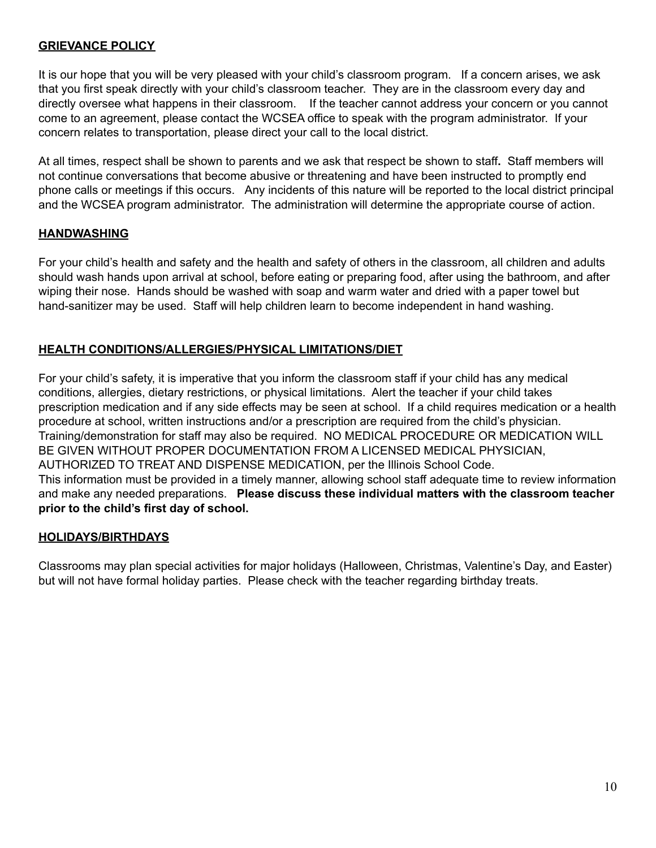## **GRIEVANCE POLICY**

It is our hope that you will be very pleased with your child's classroom program. If a concern arises, we ask that you first speak directly with your child's classroom teacher. They are in the classroom every day and directly oversee what happens in their classroom. If the teacher cannot address your concern or you cannot come to an agreement, please contact the WCSEA office to speak with the program administrator. If your concern relates to transportation, please direct your call to the local district.

At all times, respect shall be shown to parents and we ask that respect be shown to staff**.** Staff members will not continue conversations that become abusive or threatening and have been instructed to promptly end phone calls or meetings if this occurs. Any incidents of this nature will be reported to the local district principal and the WCSEA program administrator. The administration will determine the appropriate course of action.

## **HANDWASHING**

For your child's health and safety and the health and safety of others in the classroom, all children and adults should wash hands upon arrival at school, before eating or preparing food, after using the bathroom, and after wiping their nose. Hands should be washed with soap and warm water and dried with a paper towel but hand-sanitizer may be used. Staff will help children learn to become independent in hand washing.

# **HEALTH CONDITIONS/ALLERGIES/PHYSICAL LIMITATIONS/DIET**

For your child's safety, it is imperative that you inform the classroom staff if your child has any medical conditions, allergies, dietary restrictions, or physical limitations. Alert the teacher if your child takes prescription medication and if any side effects may be seen at school. If a child requires medication or a health procedure at school, written instructions and/or a prescription are required from the child's physician. Training/demonstration for staff may also be required. NO MEDICAL PROCEDURE OR MEDICATION WILL BE GIVEN WITHOUT PROPER DOCUMENTATION FROM A LICENSED MEDICAL PHYSICIAN, AUTHORIZED TO TREAT AND DISPENSE MEDICATION, per the Illinois School Code. This information must be provided in a timely manner, allowing school staff adequate time to review information and make any needed preparations. **Please discuss these individual matters with the classroom teacher prior to the child's first day of school.**

# **HOLIDAYS/BIRTHDAYS**

Classrooms may plan special activities for major holidays (Halloween, Christmas, Valentine's Day, and Easter) but will not have formal holiday parties. Please check with the teacher regarding birthday treats.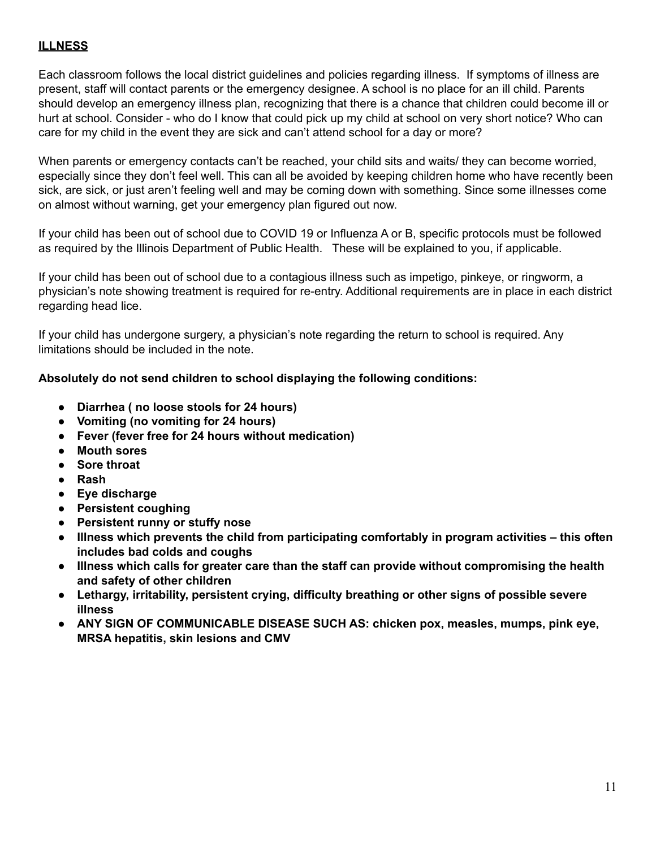# **ILLNESS**

Each classroom follows the local district guidelines and policies regarding illness. If symptoms of illness are present, staff will contact parents or the emergency designee. A school is no place for an ill child. Parents should develop an emergency illness plan, recognizing that there is a chance that children could become ill or hurt at school. Consider - who do I know that could pick up my child at school on very short notice? Who can care for my child in the event they are sick and can't attend school for a day or more?

When parents or emergency contacts can't be reached, your child sits and waits/ they can become worried, especially since they don't feel well. This can all be avoided by keeping children home who have recently been sick, are sick, or just aren't feeling well and may be coming down with something. Since some illnesses come on almost without warning, get your emergency plan figured out now.

If your child has been out of school due to COVID 19 or Influenza A or B, specific protocols must be followed as required by the Illinois Department of Public Health. These will be explained to you, if applicable.

If your child has been out of school due to a contagious illness such as impetigo, pinkeye, or ringworm, a physician's note showing treatment is required for re-entry. Additional requirements are in place in each district regarding head lice.

If your child has undergone surgery, a physician's note regarding the return to school is required. Any limitations should be included in the note.

## **Absolutely do not send children to school displaying the following conditions:**

- **Diarrhea ( no loose stools for 24 hours)**
- **Vomiting (no vomiting for 24 hours)**
- **Fever (fever free for 24 hours without medication)**
- **Mouth sores**
- **Sore throat**
- **Rash**
- **Eye discharge**
- **Persistent coughing**
- **Persistent runny or stuffy nose**
- **Illness which prevents the child from participating comfortably in program activities – this often includes bad colds and coughs**
- **Illness which calls for greater care than the staff can provide without compromising the health and safety of other children**
- **Lethargy, irritability, persistent crying, difficulty breathing or other signs of possible severe illness**
- **ANY SIGN OF COMMUNICABLE DISEASE SUCH AS: chicken pox, measles, mumps, pink eye, MRSA hepatitis, skin lesions and CMV**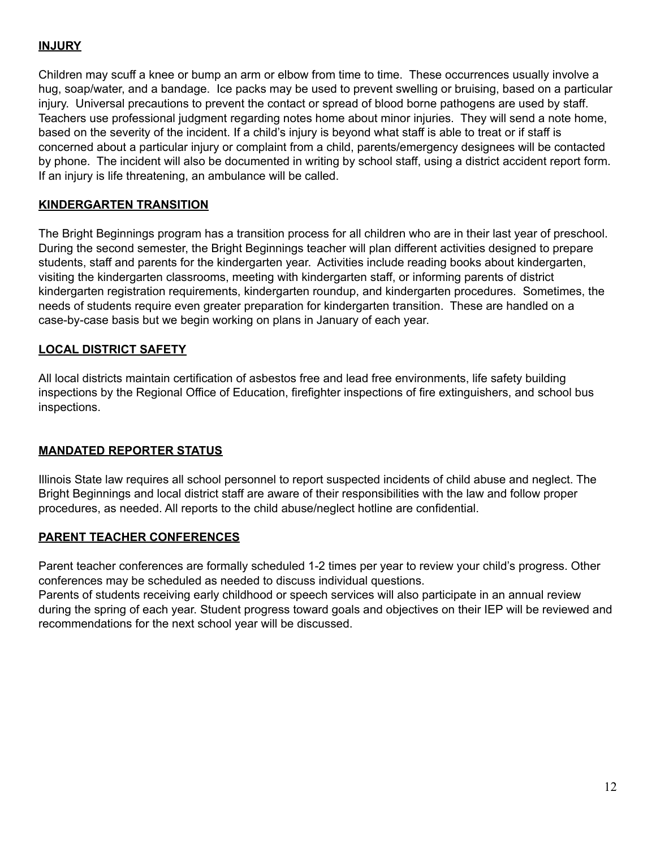# **INJURY**

Children may scuff a knee or bump an arm or elbow from time to time. These occurrences usually involve a hug, soap/water, and a bandage. Ice packs may be used to prevent swelling or bruising, based on a particular injury. Universal precautions to prevent the contact or spread of blood borne pathogens are used by staff. Teachers use professional judgment regarding notes home about minor injuries. They will send a note home, based on the severity of the incident. If a child's injury is beyond what staff is able to treat or if staff is concerned about a particular injury or complaint from a child, parents/emergency designees will be contacted by phone. The incident will also be documented in writing by school staff, using a district accident report form. If an injury is life threatening, an ambulance will be called.

# **KINDERGARTEN TRANSITION**

The Bright Beginnings program has a transition process for all children who are in their last year of preschool. During the second semester, the Bright Beginnings teacher will plan different activities designed to prepare students, staff and parents for the kindergarten year. Activities include reading books about kindergarten, visiting the kindergarten classrooms, meeting with kindergarten staff, or informing parents of district kindergarten registration requirements, kindergarten roundup, and kindergarten procedures. Sometimes, the needs of students require even greater preparation for kindergarten transition. These are handled on a case-by-case basis but we begin working on plans in January of each year.

# **LOCAL DISTRICT SAFETY**

All local districts maintain certification of asbestos free and lead free environments, life safety building inspections by the Regional Office of Education, firefighter inspections of fire extinguishers, and school bus inspections.

# **MANDATED REPORTER STATUS**

Illinois State law requires all school personnel to report suspected incidents of child abuse and neglect. The Bright Beginnings and local district staff are aware of their responsibilities with the law and follow proper procedures, as needed. All reports to the child abuse/neglect hotline are confidential.

## **PARENT TEACHER CONFERENCES**

Parent teacher conferences are formally scheduled 1-2 times per year to review your child's progress. Other conferences may be scheduled as needed to discuss individual questions.

Parents of students receiving early childhood or speech services will also participate in an annual review during the spring of each year. Student progress toward goals and objectives on their IEP will be reviewed and recommendations for the next school year will be discussed.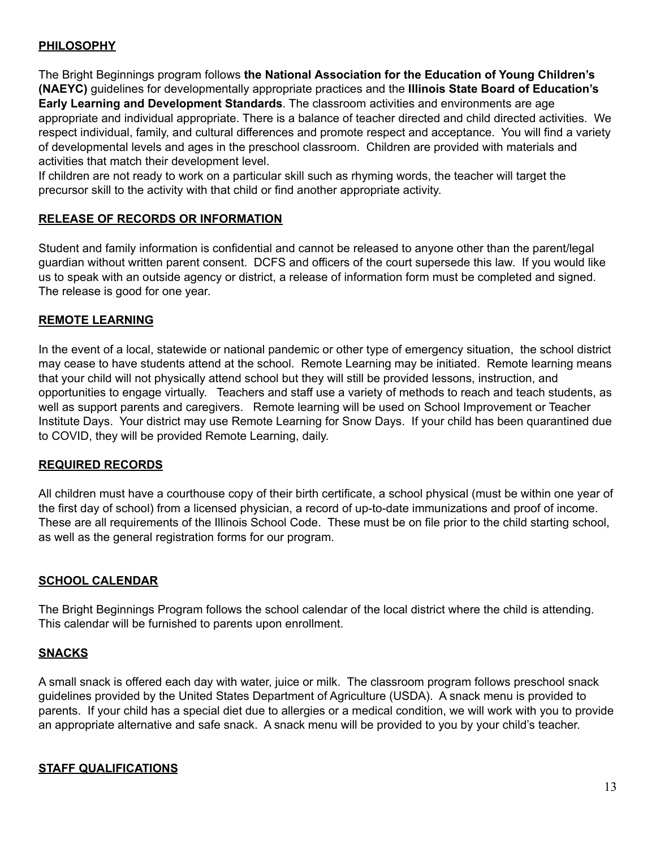# **PHILOSOPHY**

The Bright Beginnings program follows **the National Association for the Education of Young Children's (NAEYC)** guidelines for developmentally appropriate practices and the **Illinois State Board of Education's Early Learning and Development Standards**. The classroom activities and environments are age appropriate and individual appropriate. There is a balance of teacher directed and child directed activities. We respect individual, family, and cultural differences and promote respect and acceptance. You will find a variety of developmental levels and ages in the preschool classroom. Children are provided with materials and activities that match their development level.

If children are not ready to work on a particular skill such as rhyming words, the teacher will target the precursor skill to the activity with that child or find another appropriate activity.

## **RELEASE OF RECORDS OR INFORMATION**

Student and family information is confidential and cannot be released to anyone other than the parent/legal guardian without written parent consent. DCFS and officers of the court supersede this law. If you would like us to speak with an outside agency or district, a release of information form must be completed and signed. The release is good for one year.

## **REMOTE LEARNING**

In the event of a local, statewide or national pandemic or other type of emergency situation, the school district may cease to have students attend at the school. Remote Learning may be initiated. Remote learning means that your child will not physically attend school but they will still be provided lessons, instruction, and opportunities to engage virtually. Teachers and staff use a variety of methods to reach and teach students, as well as support parents and caregivers. Remote learning will be used on School Improvement or Teacher Institute Days. Your district may use Remote Learning for Snow Days. If your child has been quarantined due to COVID, they will be provided Remote Learning, daily.

### **REQUIRED RECORDS**

All children must have a courthouse copy of their birth certificate, a school physical (must be within one year of the first day of school) from a licensed physician, a record of up-to-date immunizations and proof of income. These are all requirements of the Illinois School Code. These must be on file prior to the child starting school, as well as the general registration forms for our program.

## **SCHOOL CALENDAR**

The Bright Beginnings Program follows the school calendar of the local district where the child is attending. This calendar will be furnished to parents upon enrollment.

### **SNACKS**

A small snack is offered each day with water, juice or milk. The classroom program follows preschool snack guidelines provided by the United States Department of Agriculture (USDA). A snack menu is provided to parents. If your child has a special diet due to allergies or a medical condition, we will work with you to provide an appropriate alternative and safe snack. A snack menu will be provided to you by your child's teacher.

### **STAFF QUALIFICATIONS**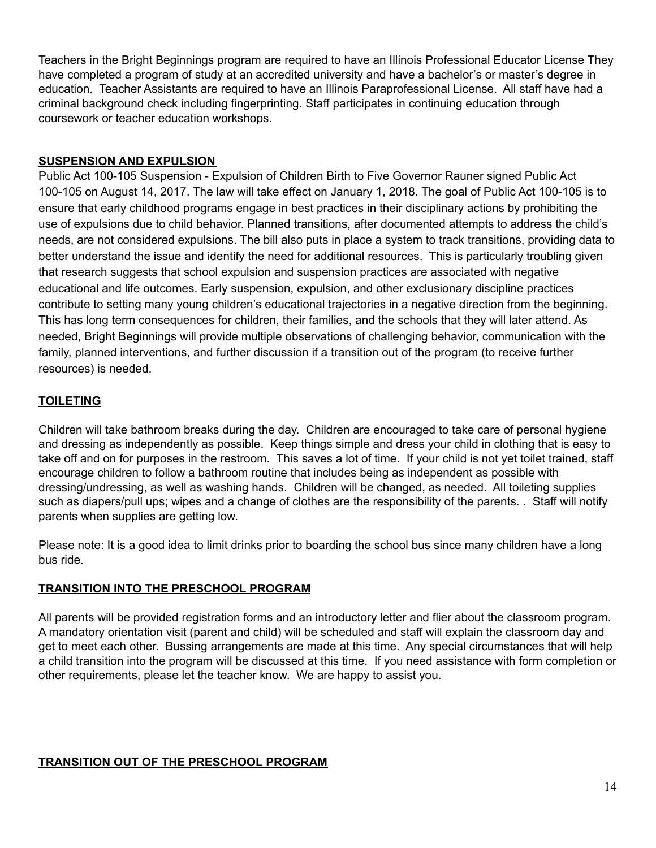Teachers in the Bright Beginnings program are required to have an Illinois Professional Educator License They have completed a program of study at an accredited university and have a bachelor's or master's degree in education. Teacher Assistants are required to have an Illinois Paraprofessional License. All staff have had a criminal background check including fingerprinting. Staff participates in continuing education through coursework or teacher education workshops.

# **SUSPENSION AND EXPULSION**

Public Act 100-105 Suspension - Expulsion of Children Birth to Five Governor Rauner signed Public Act 100-105 on August 14, 2017. The law will take effect on January 1, 2018. The goal of Public Act 100-105 is to ensure that early childhood programs engage in best practices in their disciplinary actions by prohibiting the use of expulsions due to child behavior. Planned transitions, after documented attempts to address the child's needs, are not considered expulsions. The bill also puts in place a system to track transitions, providing data to better understand the issue and identify the need for additional resources. This is particularly troubling given that research suggests that school expulsion and suspension practices are associated with negative educational and life outcomes. Early suspension, expulsion, and other exclusionary discipline practices contribute to setting many young children's educational trajectories in a negative direction from the beginning. This has long term consequences for children, their families, and the schools that they will later attend. As needed, Bright Beginnings will provide multiple observations of challenging behavior, communication with the family, planned interventions, and further discussion if a transition out of the program (to receive further resources) is needed.

# **TOILETING**

Children will take bathroom breaks during the day. Children are encouraged to take care of personal hygiene and dressing as independently as possible. Keep things simple and dress your child in clothing that is easy to take off and on for purposes in the restroom. This saves a lot of time. If your child is not yet toilet trained, staff encourage children to follow a bathroom routine that includes being as independent as possible with dressing/undressing, as well as washing hands. Children will be changed, as needed. All toileting supplies such as diapers/pull ups; wipes and a change of clothes are the responsibility of the parents. . Staff will notify parents when supplies are getting low.

Please note: It is a good idea to limit drinks prior to boarding the school bus since many children have a long bus ride.

# **TRANSITION INTO THE PRESCHOOL PROGRAM**

All parents will be provided registration forms and an introductory letter and flier about the classroom program. A mandatory orientation visit (parent and child) will be scheduled and staff will explain the classroom day and get to meet each other. Bussing arrangements are made at this time. Any special circumstances that will help a child transition into the program will be discussed at this time. If you need assistance with form completion or other requirements, please let the teacher know. We are happy to assist you.

# **TRANSITION OUT OF THE PRESCHOOL PROGRAM**